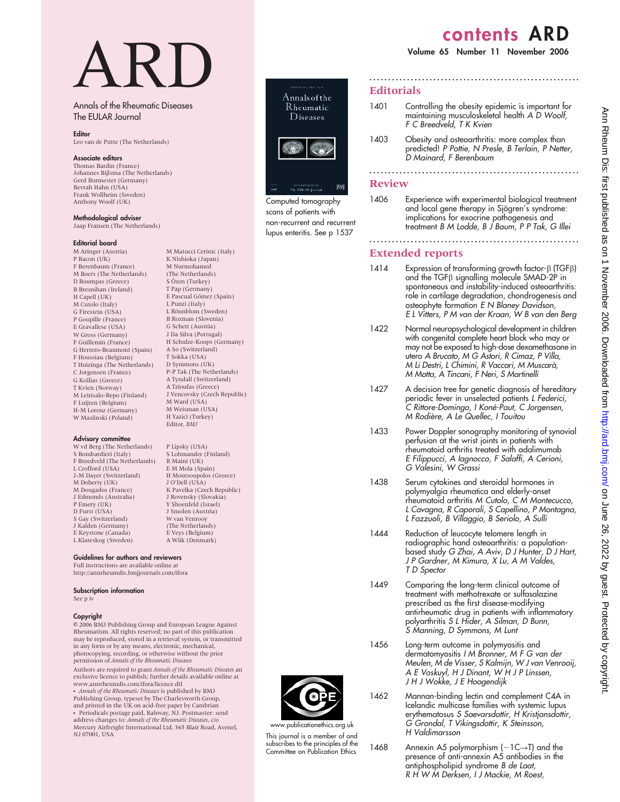# contents ARD

#### Volume 65 Number 11 November 2006

# ARD

## Annals of the Rheumatic Diseases The EULAR Journal

#### **Editor**

Leo van de Putte (The Netherlands)

#### Associate editors

Thomas Bardin (France) Johannes Bijlsma (The Netherlands) Gerd Burmester (Germany) Bevrah Hahn (USA) Frank Wollheim (Sweden) Anthony Woolf (UK)

#### Methodological adviser

Jaap Fransen (The Netherlands)

M Matucci Cerinic (Italy) K Nishioka (Japan) M Nurmohamed (The Netherlands) S Özen (Turkey) T Pap (Germany) E Pascual Gómez (Spain) L Punzi (Italy) L Rönnblom (Sweden) B Rozman (Slovenia) G Schett (Austria) J Da Silva (Portugal) H Schulze-Koops (Germany) A So (Switzerland) T Sokka (USA) D Symmons (UK) P-P Tak (The Netherlands) A Tyndall (Switzerland) A Tzioufas (Greece) J Vencovsky (Czech Republic)

M Ward (USA) M Weisman (USA) H Yazici (Turkey) Editor, BMJ

P Lipsky (USA) S Lohmander (Finland) R Maini (UK) E M Mola (Spain) H Moutsoupolos (Greece) J O'Dell (USA) K Pavelka (Czech Republic) J Rovensky (Slovakia) Y Shoenfeld (Israel) J Smolen (Austria) W van Venrooy (The Netherlands) E Veys (Belgium) A Wiik (Denmark)

#### Editorial board

M Aringer (Austria) P Bacon (UK) F Berenbaum (France) M Boers (The Netherlands) D Boumpas (Greece) B Bresnihan (Ireland) H Capell (UK) M Cutolo (Italy) G Firestein (USA) P Goupille (France) E Gravallese (USA) W Gross (Germany) F Guillemin (France) G Herrero-Beaumont (Spain) F Houssiau (Belgium) T Huizinga (The Netherlands) C Jorgensen (France) G Kollias (Greece) T Kvien (Norway) M Leirisalo-Repo (Finland) F Luijten (Belgium) H-M Lorenz (Germany) W Maslinski (Poland)

#### Advisory committee

W vd Berg (The Netherlands) S Bombardieri (Italy) F Breedveld (The Netherlands) L Crofford (USA) J-M Dayer (Switzerland) M Doherty (UK) M Dougados (France) J Edmonds (Australia) P Emery (UK) D Furst (USA) S Gay (Switzerland) J Kalden (Germany) E Keystone (Canada) L Klareskog (Sweden)

Guidelines for authors and reviewers

Full instructions are available online at http://annrheumdis.bmjjournals.com/ifora

# Subscription information

See p iv

#### Copyright

 $© 2006$  BMJ Publishing Group and European League Against Rheumatism. All rights reserved; no part of this publication may be reproduced, stored in a retrieval system, or transmitted in any form or by any means, electronic, mechanical, photocopying, recording, or otherwise without the prior<br>permission of Annals of the Rheumatic Diseases

Authors are required to grant Annals of the Rheumatic Diseases an<br>exclusive licence to publish; further details available online at www.annrheumdis.com/ifora/licence.dtl

• Annals of the Rheumatic Diseases is published by BMJ<br>Publishing Group, typeset by The Charlesworth Group, and printed in the UK on acid-free paper by Cambrian

• Periodicals postage paid, Rahway, NJ. Postmaster: send address changes to: Annals of the Rheumatic Diseases, c/o Mercury Airfreight International Ltd, 365 Blair Road, Avenel, NJ 07001, USA



Computed tomography scans of patients with non-recurrent and recurrent lupus enteritis. See p 1537

# Editorials

1401 Controlling the obesity epidemic is important for maintaining musculoskeletal health A D Woolf, F C Breedveld, T K Kvien

........................................................

1403 Obesity and osteoarthritis: more complex than predicted! P Pottie, N Presle, B Terlain, P Netter, D Mainard, F Berenbaum

........................................................

### Review

1406 Experience with experimental biological treatment and local gene therapy in Sjögren's syndrome: implications for exocrine pathogenesis and treatment B M Lodde, B J Baum, P P Tak, G Illei

........................................................

# Extended reports

- 1414 Expression of transforming growth factor- $\beta$  (TGF $\beta$ ) and the TGF $\beta$  signalling molecule SMAD-2P in spontaneous and instability-induced osteoarthritis: role in cartilage degradation, chondrogenesis and osteophyte formation E N Blaney Davidson, E L Vitters, P M van der Kraan, W B van den Berg
- 1422 Normal neuropsychological development in children with congenital complete heart block who may or may not be exposed to high-dose dexamethasone in utero A Brucato, M G Astori, R Cimaz, P Villa, M Li Destri, L Chimini, R Vaccari, M Muscara`, M Motta, A Tincani, F Neri, S Martinelli
- 1427 A decision tree for genetic diagnosis of hereditary periodic fever in unselected patients L Federici, C Rittore-Domingo, I Koné-Paut, C Jorgensen, M Rodière, A Le Quellec, I Touitou
- 1433 Power Doppler sonography monitoring of synovial perfusion at the wrist joints in patients with rheumatoid arthritis treated with adalimumab E Filippucci, A Iagnocco, F Salaffi, A Cerioni, G Valesini, W Grassi
- 1438 Serum cytokines and steroidal hormones in polymyalgia rheumatica and elderly-onset rheumatoid arthritis M Cutolo, C M Montecucco, L Cavagna, R Caporali, S Capellino, P Montagna, L Fazzuoli, B Villaggio, B Seriolo, A Sulli
- 1444 Reduction of leucocyte telomere length in radiographic hand osteoarthritis: a populationbased study G Zhai, A Aviv, D J Hunter, D J Hart, J P Gardner, M Kimura, X Lu, A M Valdes, T D Spector
- 1449 Comparing the long-term clinical outcome of treatment with methotrexate or sulfasalazine prescribed as the first disease-modifying antirheumatic drug in patients with inflammatory polyarthritis S L Hider, A Silman, D Bunn, S Manning, D Symmons, M Lunt
- 1456 Long-term outcome in polymyositis and dermatomyositis I M Bronner, M F G van der Meulen, M de Visser, S Kalmijn, W J van Venrooij, A E Voskuyl, H J Dinant, W H J P Linssen, J H J Wokke, J E Hoogendijk
- 1462 Mannan-binding lectin and complement C4A in Icelandic multicase families with systemic lupus erythematosus S Saevarsdottir, H Kristjansdottir, G Grondal, T Vikingsdottir, K Steinsson, H Valdimarsson
- 1468 Annexin A5 polymorphism  $(-1C\rightarrow T)$  and the presence of anti-annexin A5 antibodies in the antiphospholipid syndrome B de Laat, R H W M Derksen, I J Mackie, M Roest,



www.publicationethics.org.uk This journal is a member of and subscribes to the principles of the Committee on Publication Ethics